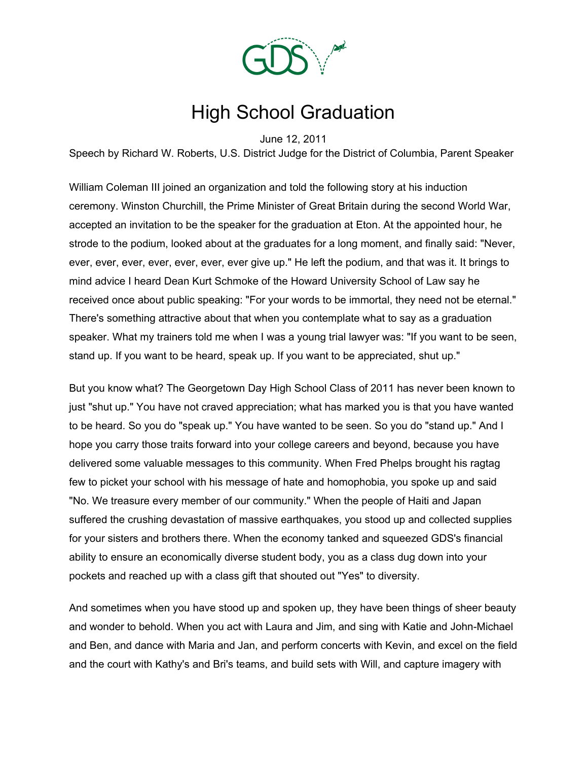

## High School Graduation

June 12, 2011

Speech by Richard W. Roberts, U.S. District Judge for the District of Columbia, Parent Speaker

William Coleman III joined an organization and told the following story at his induction ceremony. Winston Churchill, the Prime Minister of Great Britain during the second World War, accepted an invitation to be the speaker for the graduation at Eton. At the appointed hour, he strode to the podium, looked about at the graduates for a long moment, and finally said: "Never, ever, ever, ever, ever, ever, ever, ever give up." He left the podium, and that was it. It brings to mind advice I heard Dean Kurt Schmoke of the Howard University School of Law say he received once about public speaking: "For your words to be immortal, they need not be eternal." There's something attractive about that when you contemplate what to say as a graduation speaker. What my trainers told me when I was a young trial lawyer was: "If you want to be seen, stand up. If you want to be heard, speak up. If you want to be appreciated, shut up."

But you know what? The Georgetown Day High School Class of 2011 has never been known to just "shut up." You have not craved appreciation; what has marked you is that you have wanted to be heard. So you do "speak up." You have wanted to be seen. So you do "stand up." And I hope you carry those traits forward into your college careers and beyond, because you have delivered some valuable messages to this community. When Fred Phelps brought his ragtag few to picket your school with his message of hate and homophobia, you spoke up and said "No. We treasure every member of our community." When the people of Haiti and Japan suffered the crushing devastation of massive earthquakes, you stood up and collected supplies for your sisters and brothers there. When the economy tanked and squeezed GDS's financial ability to ensure an economically diverse student body, you as a class dug down into your pockets and reached up with a class gift that shouted out "Yes" to diversity.

And sometimes when you have stood up and spoken up, they have been things of sheer beauty and wonder to behold. When you act with Laura and Jim, and sing with Katie and John-Michael and Ben, and dance with Maria and Jan, and perform concerts with Kevin, and excel on the field and the court with Kathy's and Bri's teams, and build sets with Will, and capture imagery with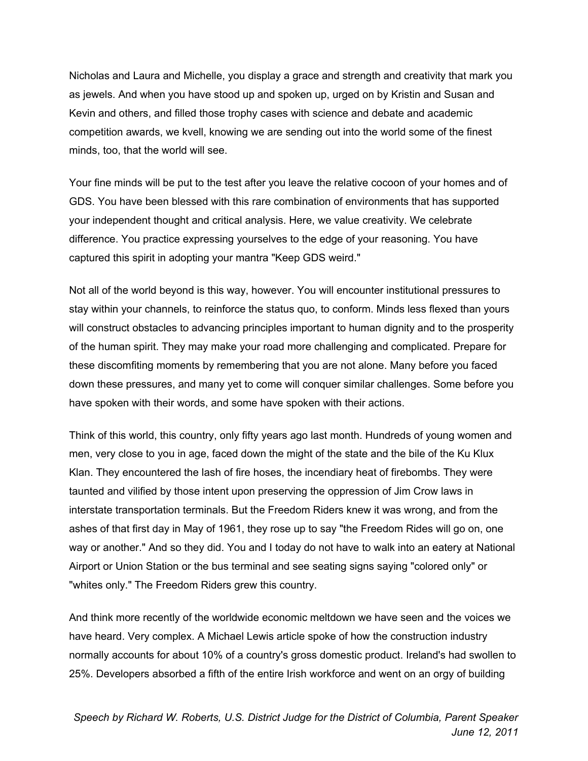Nicholas and Laura and Michelle, you display a grace and strength and creativity that mark you as jewels. And when you have stood up and spoken up, urged on by Kristin and Susan and Kevin and others, and filled those trophy cases with science and debate and academic competition awards, we kvell, knowing we are sending out into the world some of the finest minds, too, that the world will see.

Your fine minds will be put to the test after you leave the relative cocoon of your homes and of GDS. You have been blessed with this rare combination of environments that has supported your independent thought and critical analysis. Here, we value creativity. We celebrate difference. You practice expressing yourselves to the edge of your reasoning. You have captured this spirit in adopting your mantra "Keep GDS weird."

Not all of the world beyond is this way, however. You will encounter institutional pressures to stay within your channels, to reinforce the status quo, to conform. Minds less flexed than yours will construct obstacles to advancing principles important to human dignity and to the prosperity of the human spirit. They may make your road more challenging and complicated. Prepare for these discomfiting moments by remembering that you are not alone. Many before you faced down these pressures, and many yet to come will conquer similar challenges. Some before you have spoken with their words, and some have spoken with their actions.

Think of this world, this country, only fifty years ago last month. Hundreds of young women and men, very close to you in age, faced down the might of the state and the bile of the Ku Klux Klan. They encountered the lash of fire hoses, the incendiary heat of firebombs. They were taunted and vilified by those intent upon preserving the oppression of Jim Crow laws in interstate transportation terminals. But the Freedom Riders knew it was wrong, and from the ashes of that first day in May of 1961, they rose up to say "the Freedom Rides will go on, one way or another." And so they did. You and I today do not have to walk into an eatery at National Airport or Union Station or the bus terminal and see seating signs saying "colored only" or "whites only." The Freedom Riders grew this country.

And think more recently of the worldwide economic meltdown we have seen and the voices we have heard. Very complex. A Michael Lewis article spoke of how the construction industry normally accounts for about 10% of a country's gross domestic product. Ireland's had swollen to 25%. Developers absorbed a fifth of the entire Irish workforce and went on an orgy of building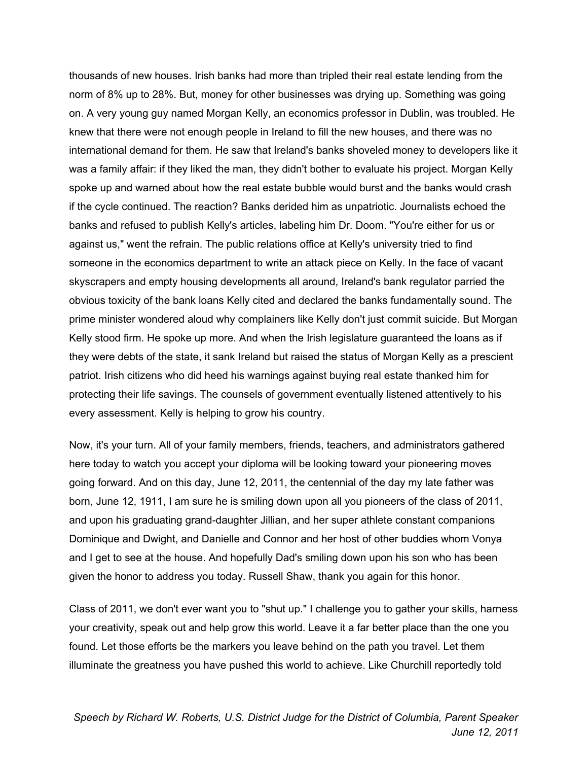thousands of new houses. Irish banks had more than tripled their real estate lending from the norm of 8% up to 28%. But, money for other businesses was drying up. Something was going on. A very young guy named Morgan Kelly, an economics professor in Dublin, was troubled. He knew that there were not enough people in Ireland to fill the new houses, and there was no international demand for them. He saw that Ireland's banks shoveled money to developers like it was a family affair: if they liked the man, they didn't bother to evaluate his project. Morgan Kelly spoke up and warned about how the real estate bubble would burst and the banks would crash if the cycle continued. The reaction? Banks derided him as unpatriotic. Journalists echoed the banks and refused to publish Kelly's articles, labeling him Dr. Doom. "You're either for us or against us," went the refrain. The public relations office at Kelly's university tried to find someone in the economics department to write an attack piece on Kelly. In the face of vacant skyscrapers and empty housing developments all around, Ireland's bank regulator parried the obvious toxicity of the bank loans Kelly cited and declared the banks fundamentally sound. The prime minister wondered aloud why complainers like Kelly don't just commit suicide. But Morgan Kelly stood firm. He spoke up more. And when the Irish legislature guaranteed the loans as if they were debts of the state, it sank Ireland but raised the status of Morgan Kelly as a prescient patriot. Irish citizens who did heed his warnings against buying real estate thanked him for protecting their life savings. The counsels of government eventually listened attentively to his every assessment. Kelly is helping to grow his country.

Now, it's your turn. All of your family members, friends, teachers, and administrators gathered here today to watch you accept your diploma will be looking toward your pioneering moves going forward. And on this day, June 12, 2011, the centennial of the day my late father was born, June 12, 1911, I am sure he is smiling down upon all you pioneers of the class of 2011, and upon his graduating grand-daughter Jillian, and her super athlete constant companions Dominique and Dwight, and Danielle and Connor and her host of other buddies whom Vonya and I get to see at the house. And hopefully Dad's smiling down upon his son who has been given the honor to address you today. Russell Shaw, thank you again for this honor.

Class of 2011, we don't ever want you to "shut up." I challenge you to gather your skills, harness your creativity, speak out and help grow this world. Leave it a far better place than the one you found. Let those efforts be the markers you leave behind on the path you travel. Let them illuminate the greatness you have pushed this world to achieve. Like Churchill reportedly told